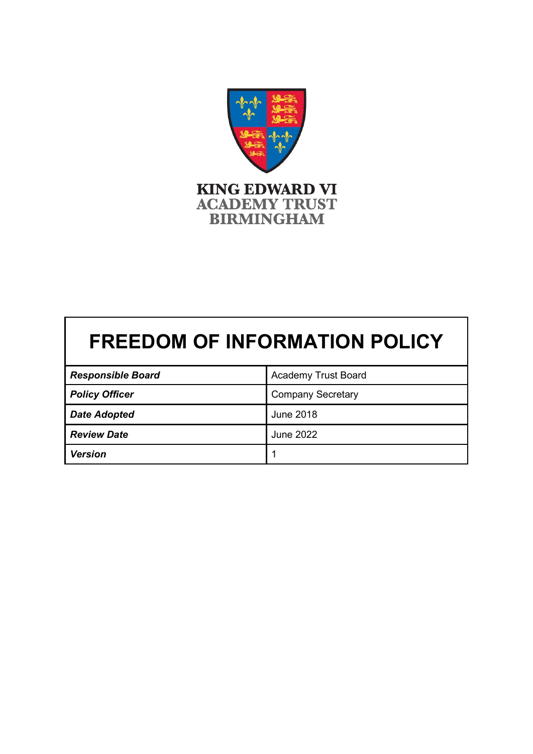

# **FREEDOM OF INFORMATION POLICY**

| <b>Responsible Board</b> | <b>Academy Trust Board</b> |
|--------------------------|----------------------------|
| <b>Policy Officer</b>    | <b>Company Secretary</b>   |
| <b>Date Adopted</b>      | June 2018                  |
| <b>Review Date</b>       | <b>June 2022</b>           |
| <b>Version</b>           |                            |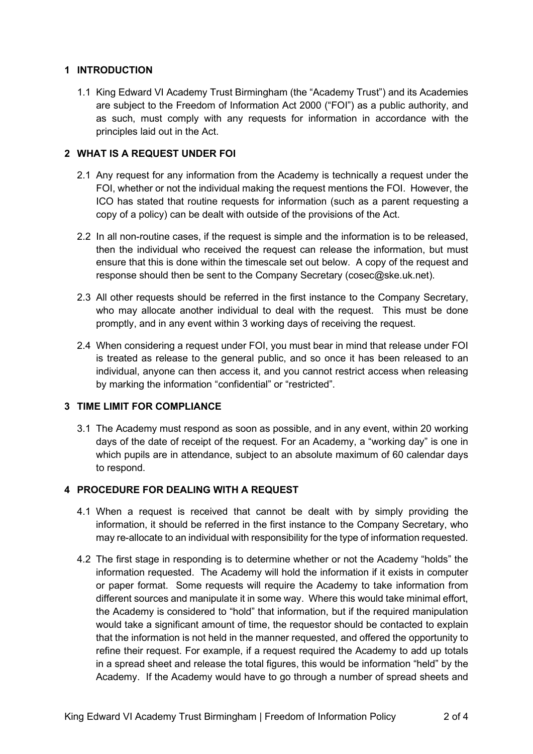## **1 INTRODUCTION**

1.1 King Edward VI Academy Trust Birmingham (the "Academy Trust") and its Academies are subject to the Freedom of Information Act 2000 ("FOI") as a public authority, and as such, must comply with any requests for information in accordance with the principles laid out in the Act.

## **2 WHAT IS A REQUEST UNDER FOI**

- 2.1 Any request for any information from the Academy is technically a request under the FOI, whether or not the individual making the request mentions the FOI. However, the ICO has stated that routine requests for information (such as a parent requesting a copy of a policy) can be dealt with outside of the provisions of the Act.
- 2.2 In all non-routine cases, if the request is simple and the information is to be released, then the individual who received the request can release the information, but must ensure that this is done within the timescale set out below. A copy of the request and response should then be sent to the Company Secretary (cosec@ske.uk.net).
- 2.3 All other requests should be referred in the first instance to the Company Secretary, who may allocate another individual to deal with the request. This must be done promptly, and in any event within 3 working days of receiving the request.
- 2.4 When considering a request under FOI, you must bear in mind that release under FOI is treated as release to the general public, and so once it has been released to an individual, anyone can then access it, and you cannot restrict access when releasing by marking the information "confidential" or "restricted".

# **3 TIME LIMIT FOR COMPLIANCE**

3.1 The Academy must respond as soon as possible, and in any event, within 20 working days of the date of receipt of the request. For an Academy, a "working day" is one in which pupils are in attendance, subject to an absolute maximum of 60 calendar days to respond.

# **4 PROCEDURE FOR DEALING WITH A REQUEST**

- 4.1 When a request is received that cannot be dealt with by simply providing the information, it should be referred in the first instance to the Company Secretary, who may re-allocate to an individual with responsibility for the type of information requested.
- 4.2 The first stage in responding is to determine whether or not the Academy "holds" the information requested. The Academy will hold the information if it exists in computer or paper format. Some requests will require the Academy to take information from different sources and manipulate it in some way. Where this would take minimal effort, the Academy is considered to "hold" that information, but if the required manipulation would take a significant amount of time, the requestor should be contacted to explain that the information is not held in the manner requested, and offered the opportunity to refine their request. For example, if a request required the Academy to add up totals in a spread sheet and release the total figures, this would be information "held" by the Academy. If the Academy would have to go through a number of spread sheets and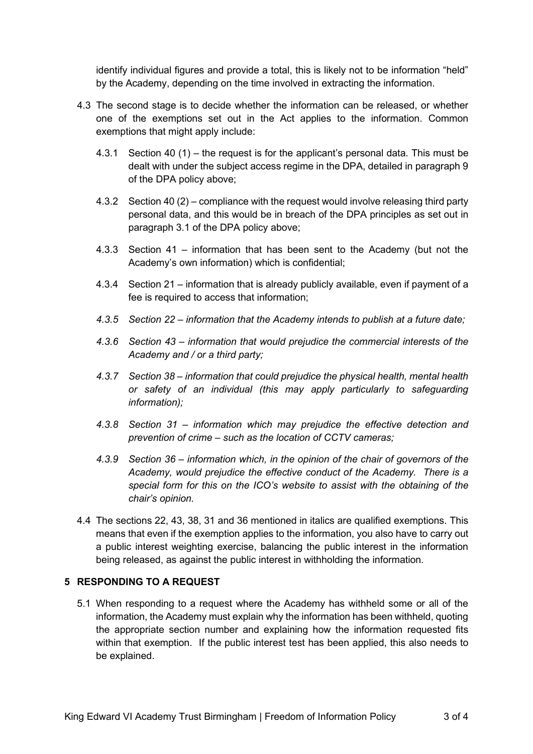identify individual figures and provide a total, this is likely not to be information "held" by the Academy, depending on the time involved in extracting the information.

- 4.3 The second stage is to decide whether the information can be released, or whether one of the exemptions set out in the Act applies to the information. Common exemptions that might apply include:
	- 4.3.1 Section 40 (1) the request is for the applicant's personal data. This must be dealt with under the subject access regime in the DPA, detailed in paragraph 9 of the DPA policy above;
	- 4.3.2 Section 40 (2) compliance with the request would involve releasing third party personal data, and this would be in breach of the DPA principles as set out in paragraph 3.1 of the DPA policy above;
	- 4.3.3 Section 41 information that has been sent to the Academy (but not the Academy's own information) which is confidential;
	- 4.3.4 Section 21 information that is already publicly available, even if payment of a fee is required to access that information;
	- *4.3.5 Section 22 – information that the Academy intends to publish at a future date;*
	- *4.3.6 Section 43 – information that would prejudice the commercial interests of the Academy and / or a third party;*
	- *4.3.7 Section 38 – information that could prejudice the physical health, mental health or safety of an individual (this may apply particularly to safeguarding information);*
	- *4.3.8 Section 31 – information which may prejudice the effective detection and prevention of crime – such as the location of CCTV cameras;*
	- *4.3.9 Section 36 – information which, in the opinion of the chair of governors of the Academy, would prejudice the effective conduct of the Academy. There is a special form for this on the ICO's website to assist with the obtaining of the chair's opinion.*
- 4.4 The sections 22, 43, 38, 31 and 36 mentioned in italics are qualified exemptions. This means that even if the exemption applies to the information, you also have to carry out a public interest weighting exercise, balancing the public interest in the information being released, as against the public interest in withholding the information.

#### **5 RESPONDING TO A REQUEST**

5.1 When responding to a request where the Academy has withheld some or all of the information, the Academy must explain why the information has been withheld, quoting the appropriate section number and explaining how the information requested fits within that exemption. If the public interest test has been applied, this also needs to be explained.